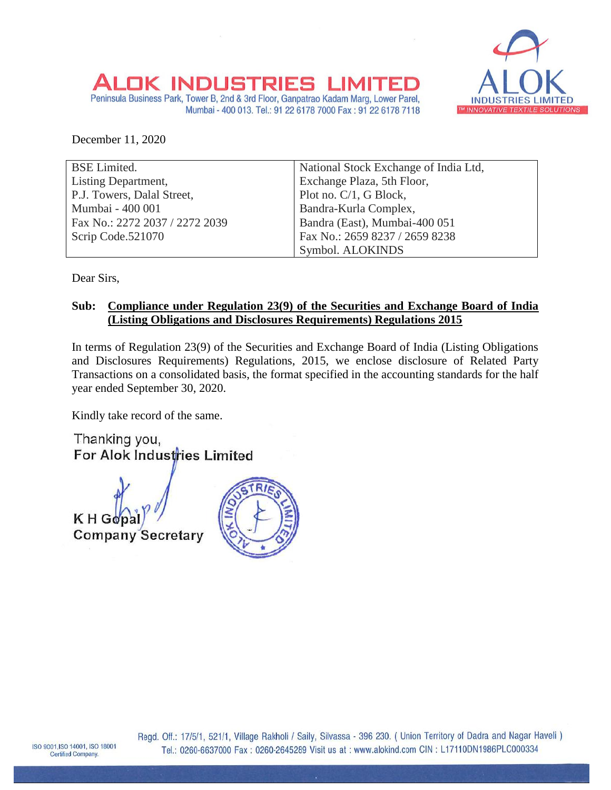

## OK INDUSTRIES

Peninsula Business Park, Tower B, 2nd & 3rd Floor, Ganpatrao Kadam Marg, Lower Parel, Mumbai - 400 013. Tel.: 91 22 6178 7000 Fax: 91 22 6178 7118

December 11, 2020

| <b>BSE</b> Limited.            | National Stock Exchange of India Ltd, |
|--------------------------------|---------------------------------------|
| Listing Department,            | Exchange Plaza, 5th Floor,            |
| P.J. Towers, Dalal Street,     | Plot no. C/1, G Block,                |
| Mumbai - 400 001               | Bandra-Kurla Complex,                 |
| Fax No.: 2272 2037 / 2272 2039 | Bandra (East), Mumbai-400 051         |
| Scrip Code.521070              | Fax No.: 2659 8237 / 2659 8238        |
|                                | Symbol. ALOKINDS                      |

Dear Sirs,

## **Sub: Compliance under Regulation 23(9) of the Securities and Exchange Board of India (Listing Obligations and Disclosures Requirements) Regulations 2015**

In terms of Regulation 23(9) of the Securities and Exchange Board of India (Listing Obligations and Disclosures Requirements) Regulations, 2015, we enclose disclosure of Related Party Transactions on a consolidated basis, the format specified in the accounting standards for the half year ended September 30, 2020.

Kindly take record of the same.

Thanking you, For Alok Industries Limited